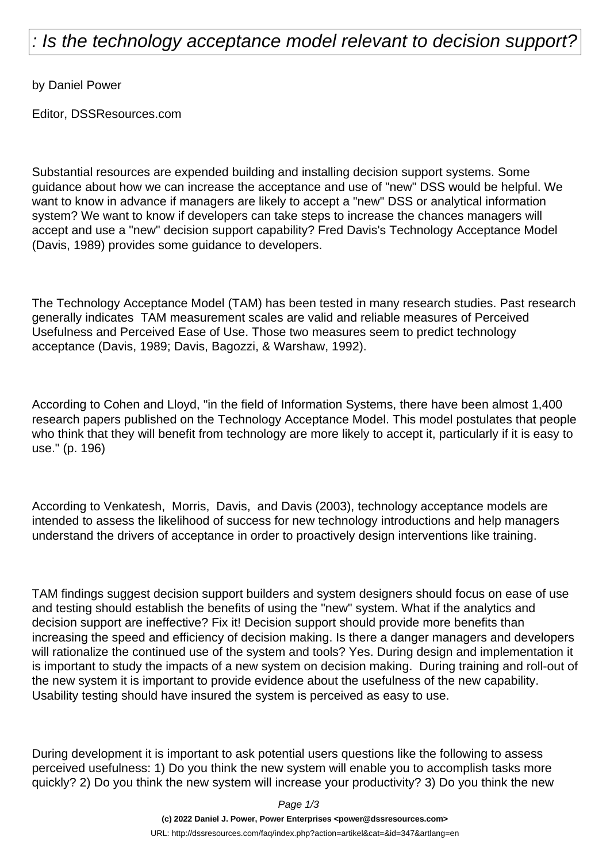## : Is the technology acceptance model relevant to decision support?

by Daniel Power

Editor, DSSResources.com

Substantial resources are expended building and installing decision support systems. Some guidance about how we can increase the acceptance and use of "new" DSS would be helpful. We want to know in advance if managers are likely to accept a "new" DSS or analytical information system? We want to know if developers can take steps to increase the chances managers will accept and use a "new" decision support capability? Fred Davis's Technology Acceptance Model (Davis, 1989) provides some guidance to developers.

The Technology Acceptance Model (TAM) has been tested in many research studies. Past research generally indicates TAM measurement scales are valid and reliable measures of Perceived Usefulness and Perceived Ease of Use. Those two measures seem to predict technology acceptance (Davis, 1989; Davis, Bagozzi, & Warshaw, 1992).

According to Cohen and Lloyd, "in the field of Information Systems, there have been almost 1,400 research papers published on the Technology Acceptance Model. This model postulates that people who think that they will benefit from technology are more likely to accept it, particularly if it is easy to use." (p. 196)

According to Venkatesh, Morris, Davis, and Davis (2003), technology acceptance models are intended to assess the likelihood of success for new technology introductions and help managers understand the drivers of acceptance in order to proactively design interventions like training.

TAM findings suggest decision support builders and system designers should focus on ease of use and testing should establish the benefits of using the "new" system. What if the analytics and decision support are ineffective? Fix it! Decision support should provide more benefits than increasing the speed and efficiency of decision making. Is there a danger managers and developers will rationalize the continued use of the system and tools? Yes. During design and implementation it is important to study the impacts of a new system on decision making. During training and roll-out of the new system it is important to provide evidence about the usefulness of the new capability. Usability testing should have insured the system is perceived as easy to use.

During development it is important to ask potential users questions like the following to assess perceived usefulness: 1) Do you think the new system will enable you to accomplish tasks more quickly? 2) Do you think the new system will increase your productivity? 3) Do you think the new

Page 1/3

**(c) 2022 Daniel J. Power, Power Enterprises <power@dssresources.com>** URL: http://dssresources.com/faq/index.php?action=artikel&cat=&id=347&artlang=en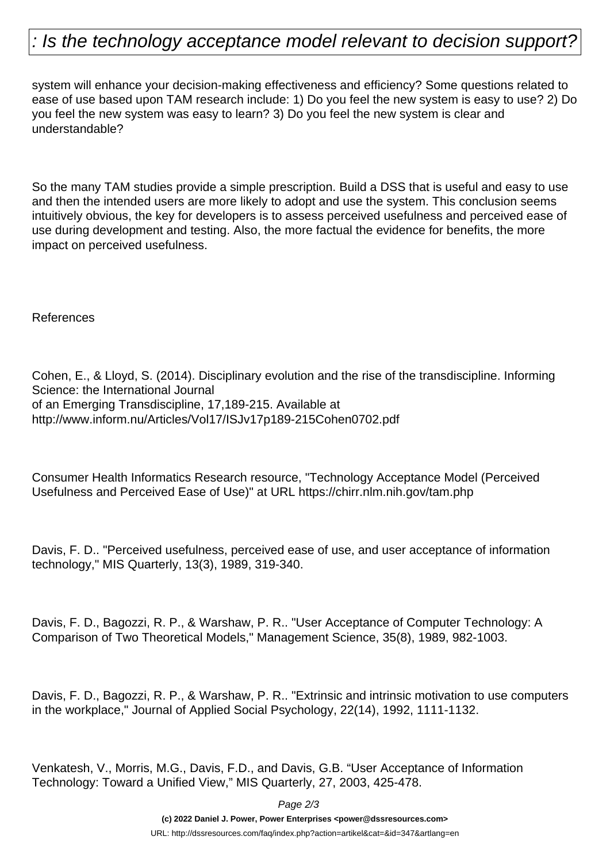## : Is the technology acceptance model relevant to decision support?

system will enhance your decision-making effectiveness and efficiency? Some questions related to ease of use based upon TAM research include: 1) Do you feel the new system is easy to use? 2) Do you feel the new system was easy to learn? 3) Do you feel the new system is clear and understandable?

So the many TAM studies provide a simple prescription. Build a DSS that is useful and easy to use and then the intended users are more likely to adopt and use the system. This conclusion seems intuitively obvious, the key for developers is to assess perceived usefulness and perceived ease of use during development and testing. Also, the more factual the evidence for benefits, the more impact on perceived usefulness.

References

Cohen, E., & Lloyd, S. (2014). Disciplinary evolution and the rise of the transdiscipline. Informing Science: the International Journal of an Emerging Transdiscipline, 17,189-215. Available at http://www.inform.nu/Articles/Vol17/ISJv17p189-215Cohen0702.pdf

Consumer Health Informatics Research resource, "Technology Acceptance Model (Perceived Usefulness and Perceived Ease of Use)" at URL https://chirr.nlm.nih.gov/tam.php

Davis, F. D.. "Perceived usefulness, perceived ease of use, and user acceptance of information technology," MIS Quarterly, 13(3), 1989, 319-340.

Davis, F. D., Bagozzi, R. P., & Warshaw, P. R.. "User Acceptance of Computer Technology: A Comparison of Two Theoretical Models," Management Science, 35(8), 1989, 982-1003.

Davis, F. D., Bagozzi, R. P., & Warshaw, P. R.. "Extrinsic and intrinsic motivation to use computers in the workplace," Journal of Applied Social Psychology, 22(14), 1992, 1111-1132.

Venkatesh, V., Morris, M.G., Davis, F.D., and Davis, G.B. "User Acceptance of Information Technology: Toward a Unified View," MIS Quarterly, 27, 2003, 425-478.

Page 2/3

**(c) 2022 Daniel J. Power, Power Enterprises <power@dssresources.com>**

URL: http://dssresources.com/faq/index.php?action=artikel&cat=&id=347&artlang=en